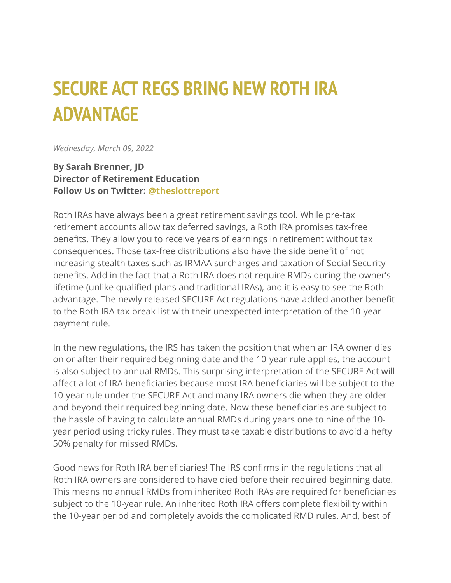## **SECURE ACT REGS BRING NEW ROTH IRA ADVANTAGE**

*Wednesday, March 09, 2022*

**By Sarah Brenner, JD Director of Retirement Education Follow Us on Twitter: [@theslottreport](https://twitter.com/theslottreport)**

Roth IRAs have always been a great retirement savings tool. While pre-tax retirement accounts allow tax deferred savings, a Roth IRA promises tax-free benefits. They allow you to receive years of earnings in retirement without tax consequences. Those tax-free distributions also have the side benefit of not increasing stealth taxes such as IRMAA surcharges and taxation of Social Security benefits. Add in the fact that a Roth IRA does not require RMDs during the owner's lifetime (unlike qualified plans and traditional IRAs), and it is easy to see the Roth advantage. The newly released SECURE Act regulations have added another benefit to the Roth IRA tax break list with their unexpected interpretation of the 10-year payment rule.

In the new regulations, the IRS has taken the position that when an IRA owner dies on or after their required beginning date and the 10-year rule applies, the account is also subject to annual RMDs. This surprising interpretation of the SECURE Act will affect a lot of IRA beneficiaries because most IRA beneficiaries will be subject to the 10-year rule under the SECURE Act and many IRA owners die when they are older and beyond their required beginning date. Now these beneficiaries are subject to the hassle of having to calculate annual RMDs during years one to nine of the 10 year period using tricky rules. They must take taxable distributions to avoid a hefty 50% penalty for missed RMDs.

Good news for Roth IRA beneficiaries! The IRS confirms in the regulations that all Roth IRA owners are considered to have died before their required beginning date. This means no annual RMDs from inherited Roth IRAs are required for beneficiaries subject to the 10-year rule. An inherited Roth IRA offers complete flexibility within the 10-year period and completely avoids the complicated RMD rules. And, best of